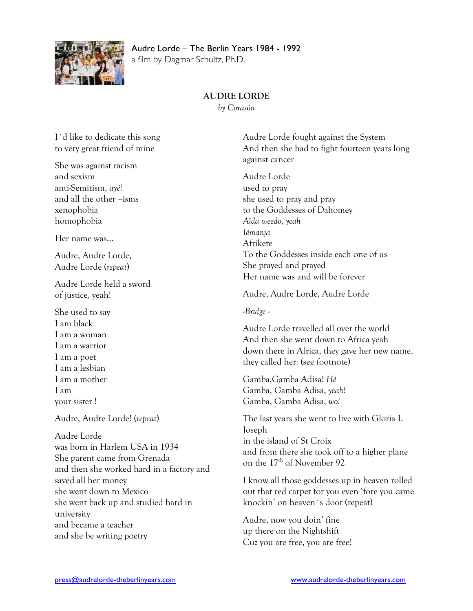

# Audre Lorde – The Berlin Years 1984 - 1992

a film by Dagmar Schultz, Ph.D.

### **AUDRE LORDE**

*by Corasón*

I´d like to dedicate this song to very great friend of mine She was against racism and sexism anti-Semitism, *ayé*! and all the other –isms xenophobia homophobia Her name was… Audre, Audre Lorde, Audre Lorde (*repeat*) Audre Lorde held a sword of justice, yeah! She used to say I am black I am a woman I am a warrior I am a poet I am a lesbian I am a mother I am your sister ! Audre, Audre Lorde! (*repeat*) Audre Lorde was born in Harlem USA in 1934 She parent came from Grenada and then she worked hard in a factory and saved all her money she went down to Mexico she went back up and studied hard in university and became a teacher and she be writing poetry Audre Lorde fought against the System And then she had to fight fourteen years long against cancer Audre Lorde used to pray she used to pray and pray to the Goddesses of Dahomey *Aïda weedo, yeah Iémanja* Afrikete To the Goddesses inside each one of us She prayed and prayed Her name was and will be forever Audre, Audre Lorde, Audre Lorde -*Bridge* - Audre Lorde travelled all over the world And then she went down to Africa yeah down there in Africa, they gave her new name, they called her: (see footnote) Gamba,Gamba Adisa! *Hé* Gamba, Gamba Adisa, *yeah!* Gamba, Gamba Adisa, *wo!* The last years she went to live with Gloria I. Joseph in the island of St Croix and from there she took off to a higher plane on the  $17<sup>th</sup>$  of November 92 I know all those goddesses up in heaven rolled out that red carpet for you even 'fore you came knockin' on heaven´s door (repeat) Audre, now you doin' fine up there on the Nightshift Cuz you are free, you are free!